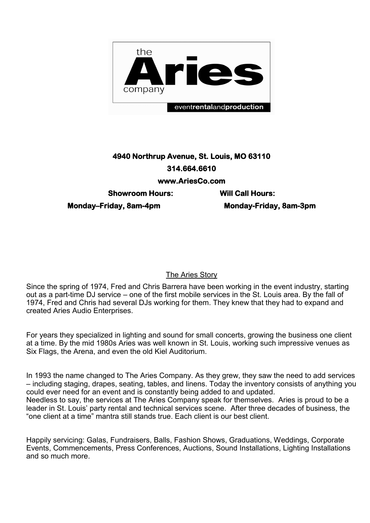

# **4940 Northrup Avenue, St. Louis, MO 63110 314.664.6610 www.AriesCo.com Showroom Hours: Will Call Hours: Monday–Friday, 8am-4pm Monday-Friday, 8am-3pm**

#### The Aries Story

Since the spring of 1974, Fred and Chris Barrera have been working in the event industry, starting out as a part-time DJ service – one of the first mobile services in the St. Louis area. By the fall of 1974, Fred and Chris had several DJs working for them. They knew that they had to expand and created Aries Audio Enterprises.

For years they specialized in lighting and sound for small concerts, growing the business one client at a time. By the mid 1980s Aries was well known in St. Louis, working such impressive venues as Six Flags, the Arena, and even the old Kiel Auditorium.

In 1993 the name changed to The Aries Company. As they grew, they saw the need to add services – including staging, drapes, seating, tables, and linens. Today the inventory consists of anything you could ever need for an event and is constantly being added to and updated. Needless to say, the services at The Aries Company speak for themselves. Aries is proud to be a leader in St. Louis' party rental and technical services scene. After three decades of business, the "one client at a time" mantra still stands true. Each client is our best client.

Happily servicing: Galas, Fundraisers, Balls, Fashion Shows, Graduations, Weddings, Corporate Events, Commencements, Press Conferences, Auctions, Sound Installations, Lighting Installations and so much more.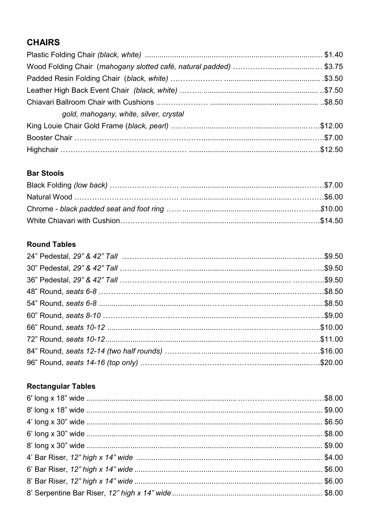# **CHAIRS**

| gold, mahogany, white, silver, crystal |  |
|----------------------------------------|--|
|                                        |  |
|                                        |  |
|                                        |  |

#### **Bar Stools**

## **Round Tables**

# **Rectangular Tables**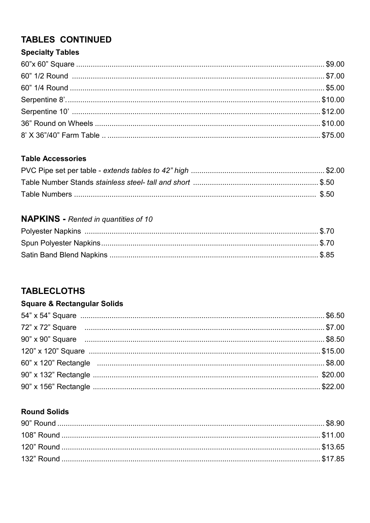# **TABLES CONTINUED**

## **Specialty Tables**

#### **Table Accessories**

# **NAPKINS** - Rented in quantities of 10

# **TABLECLOTHS**

## **Square & Rectangular Solids**

#### **Round Solids**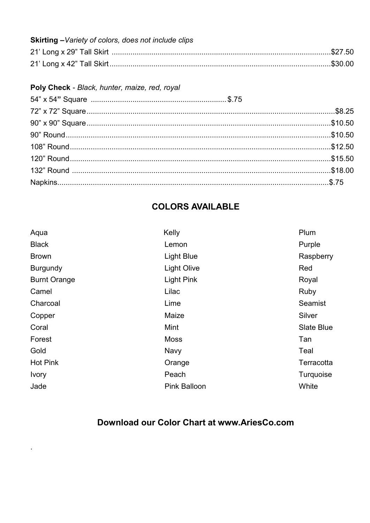## **Skirting –***Variety of colors, does not include clips*

#### **Poly Check** - *Black, hunter, maize, red, royal*

.

# **COLORS AVAILABLE**

| Aqua                | Kelly               | Plum              |
|---------------------|---------------------|-------------------|
| <b>Black</b>        | Lemon               | Purple            |
| <b>Brown</b>        | <b>Light Blue</b>   | Raspberry         |
| <b>Burgundy</b>     | <b>Light Olive</b>  | Red               |
| <b>Burnt Orange</b> | <b>Light Pink</b>   | Royal             |
| Camel               | Lilac               | Ruby              |
| Charcoal            | Lime                | Seamist           |
| Copper              | Maize               | Silver            |
| Coral               | Mint                | <b>Slate Blue</b> |
| Forest              | <b>Moss</b>         | Tan               |
| Gold                | <b>Navy</b>         | Teal              |
| <b>Hot Pink</b>     | Orange              | Terracotta        |
| <b>Ivory</b>        | Peach               | Turquoise         |
| Jade                | <b>Pink Balloon</b> | White             |

# **Download our Color Chart at www.AriesCo.com**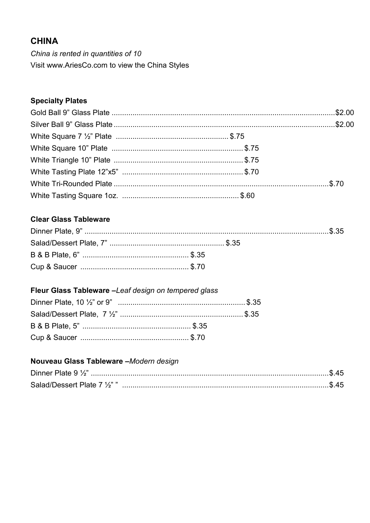# **CHINA**

China is rented in quantities of 10 Visit www.AriesCo.com to view the China Styles

## **Specialty Plates**

## **Clear Glass Tableware**

# Fleur Glass Tableware -Leaf design on tempered glass

#### Nouveau Glass Tableware -Modern design

| Dinner Plate 9 1/2"          |  |
|------------------------------|--|
| Salad/Dessert Plate 7 1/2" " |  |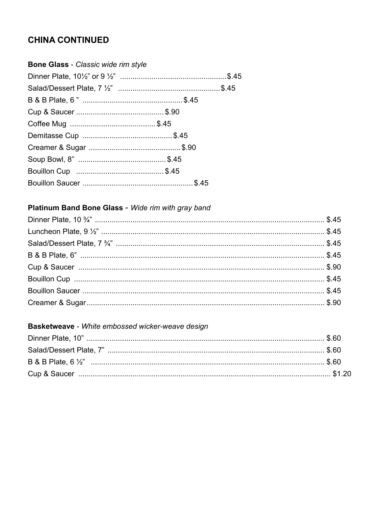## **CHINA CONTINUED**

| Bone Glass - Classic wide rim style |  |
|-------------------------------------|--|
|                                     |  |
|                                     |  |
|                                     |  |
|                                     |  |
|                                     |  |
|                                     |  |
|                                     |  |
|                                     |  |
|                                     |  |
|                                     |  |

# Platinum Band Bone Glass - Wide rim with gray band

# Basketweave - White embossed wicker-weave design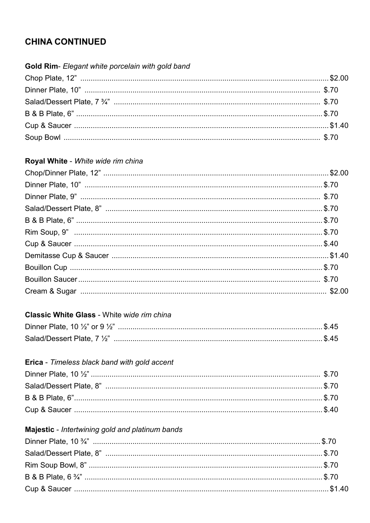# **CHINA CONTINUED**

#### Gold Rim- Elegant white porcelain with gold band

#### Royal White - White wide rim china

#### Classic White Glass - White wide rim china

#### Erica - Timeless black band with gold accent

## Majestic - Intertwining gold and platinum bands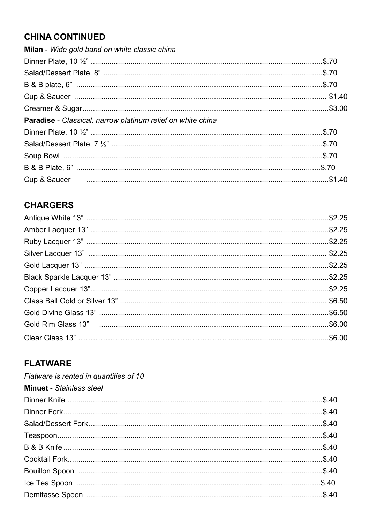# **CHINA CONTINUED**

| Milan - Wide gold band on white classic china                                                                                                                                                                                      |  |
|------------------------------------------------------------------------------------------------------------------------------------------------------------------------------------------------------------------------------------|--|
|                                                                                                                                                                                                                                    |  |
|                                                                                                                                                                                                                                    |  |
|                                                                                                                                                                                                                                    |  |
|                                                                                                                                                                                                                                    |  |
|                                                                                                                                                                                                                                    |  |
| <b>Paradise</b> - Classical, narrow platinum relief on white china                                                                                                                                                                 |  |
|                                                                                                                                                                                                                                    |  |
|                                                                                                                                                                                                                                    |  |
|                                                                                                                                                                                                                                    |  |
|                                                                                                                                                                                                                                    |  |
| Cup & Saucer <b>contracts</b> and the same state of the state of the state of the state of the state state state state state state state state state state state state state state state state state state state state state state |  |

# **CHARGERS**

# **FLATWARE**

| Flatware is rented in quantities of 10 |  |
|----------------------------------------|--|
| <b>Minuet</b> - Stainless steel        |  |
|                                        |  |
|                                        |  |
|                                        |  |
|                                        |  |
|                                        |  |
|                                        |  |
|                                        |  |
|                                        |  |
|                                        |  |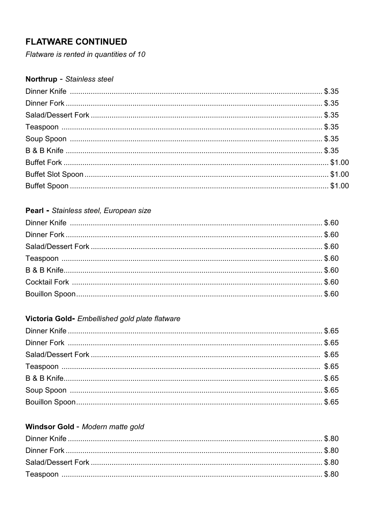# **FLATWARE CONTINUED**

Flatware is rented in quantities of 10

#### Northrup - Stainless steel

## Pearl - Stainless steel, European size

## Victoria Gold- Embellished gold plate flatware

## Windsor Gold - Modern matte gold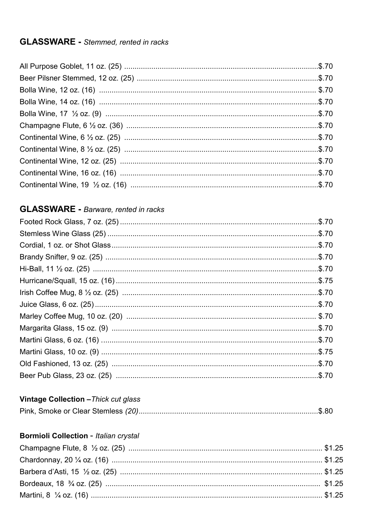## **GLASSWARE** - Stemmed, rented in racks

## **GLASSWARE** - Barware, rented in racks

# Vintage Collection - Thick cut glass

## **Bormioli Collection - Italian crystal**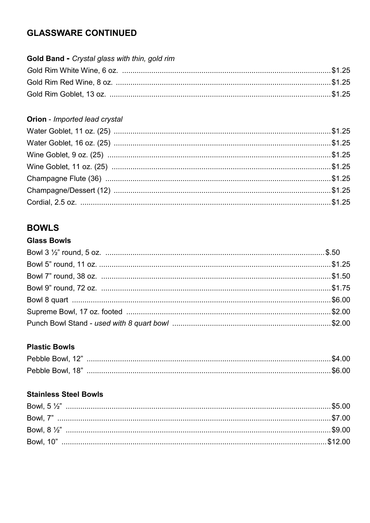# **GLASSWARE CONTINUED**

| <b>Gold Band - Crystal glass with thin, gold rim</b> |  |
|------------------------------------------------------|--|
|                                                      |  |
|                                                      |  |
|                                                      |  |

#### Orion - Imported lead crystal

# **BOWLS**

#### **Glass Bowls**

## **Plastic Bowls**

## **Stainless Steel Bowls**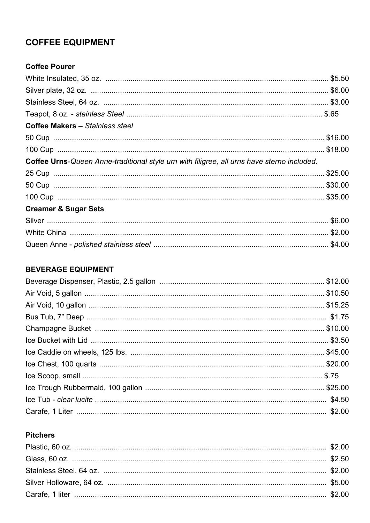# **COFFEE EQUIPMENT**

# **Coffee Pourer**

| <b>Coffee Makers - Stainless steel</b>                                                     |  |
|--------------------------------------------------------------------------------------------|--|
|                                                                                            |  |
|                                                                                            |  |
| Coffee Urns-Queen Anne-traditional style urn with filigree, all urns have sterno included. |  |
|                                                                                            |  |
|                                                                                            |  |
|                                                                                            |  |
| <b>Creamer &amp; Sugar Sets</b>                                                            |  |
|                                                                                            |  |
|                                                                                            |  |
|                                                                                            |  |

#### **BEVERAGE EQUIPMENT**

### **Pitchers**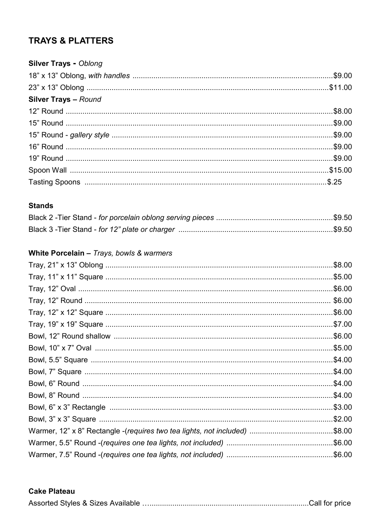# **TRAYS & PLATTERS**

| <b>Silver Trays - Oblong</b> |  |
|------------------------------|--|
|                              |  |
|                              |  |
| Silver Trays - Round         |  |
|                              |  |
|                              |  |
|                              |  |
|                              |  |
|                              |  |
|                              |  |
|                              |  |

## **Stands**

# White Porcelain - Trays, bowls & warmers

| \$8.00  |
|---------|
| \$5.00  |
| \$6.00  |
| \$6.00  |
| .\$6.00 |
| \$7.00  |
| \$6.00  |
| \$5.00  |
| \$4.00  |
| .\$4.00 |
| \$4.00  |
| \$4.00  |
| \$3.00  |
| .\$2.00 |
| .\$8.00 |
| \$6.00  |
| .\$6.00 |

#### **Cake Plateau**

|--|--|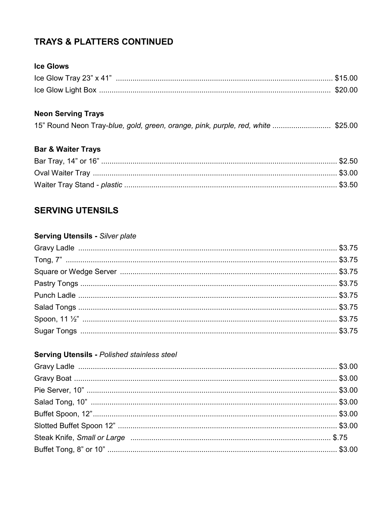# **TRAYS & PLATTERS CONTINUED**

#### **Ice Glows**

## **Neon Serving Trays**

|  |  | 15" Round Neon Tray-blue, gold, green, orange, pink, purple, red, white  \$25.00 |  |
|--|--|----------------------------------------------------------------------------------|--|
|  |  |                                                                                  |  |

## **Bar & Waiter Trays**

# **SERVING UTENSILS**

## Serving Utensils - Silver plate

## Serving Utensils - Polished stainless steel

| Steak Knife, Small or Large manufactured and the material stream of the Steak Knife, Small or Large |  |
|-----------------------------------------------------------------------------------------------------|--|
|                                                                                                     |  |
|                                                                                                     |  |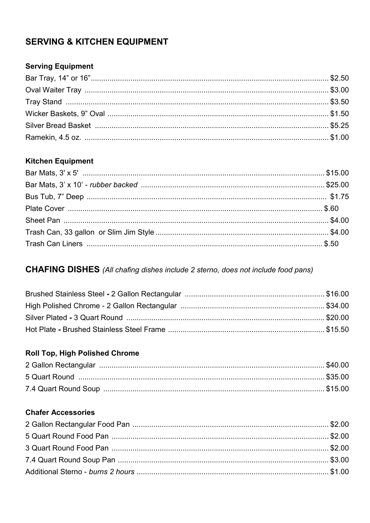# **SERVING & KITCHEN EQUIPMENT**

## **Serving Equipment**

#### **Kitchen Equipment**

## **CHAFING DISHES** (All chafing dishes include 2 sterno, does not include food pans)

## Roll Top, High Polished Chrome

#### **Chafer Accessories**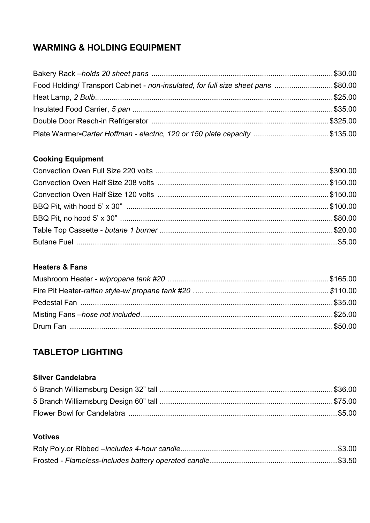# **WARMING & HOLDING EQUIPMENT**

| Food Holding/ Transport Cabinet - non-insulated, for full size sheet pans \$80.00 |  |
|-----------------------------------------------------------------------------------|--|
|                                                                                   |  |
|                                                                                   |  |
|                                                                                   |  |
| Plate Warmer-Carter Hoffman - electric, 120 or 150 plate capacity \$135.00        |  |

## **Cooking Equipment**

#### **Heaters & Fans**

# **TABLETOP LIGHTING**

#### **Silver Candelabra**

#### **Votives**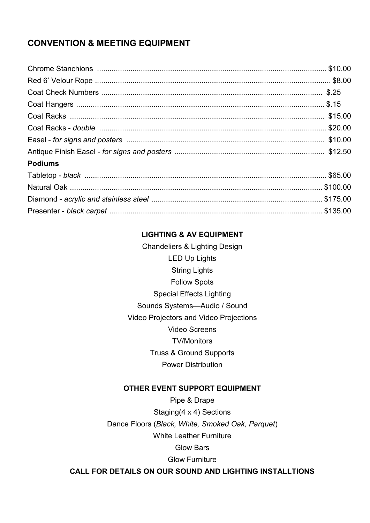# **CONVENTION & MEETING EQUIPMENT**

| <b>Podiums</b> |  |
|----------------|--|
|                |  |
|                |  |
|                |  |
|                |  |

#### **LIGHTING & AV EQUIPMENT**

**Chandeliers & Lighting Design LED Up Lights String Lights Follow Spots Special Effects Lighting** Sounds Systems-Audio / Sound Video Projectors and Video Projections **Video Screens TV/Monitors Truss & Ground Supports Power Distribution** 

#### **OTHER EVENT SUPPORT EQUIPMENT**

Pipe & Drape Staging(4 x 4) Sections Dance Floors (Black, White, Smoked Oak, Parquet) **White Leather Furniture Glow Bars Glow Furniture** 

CALL FOR DETAILS ON OUR SOUND AND LIGHTING INSTALLTIONS